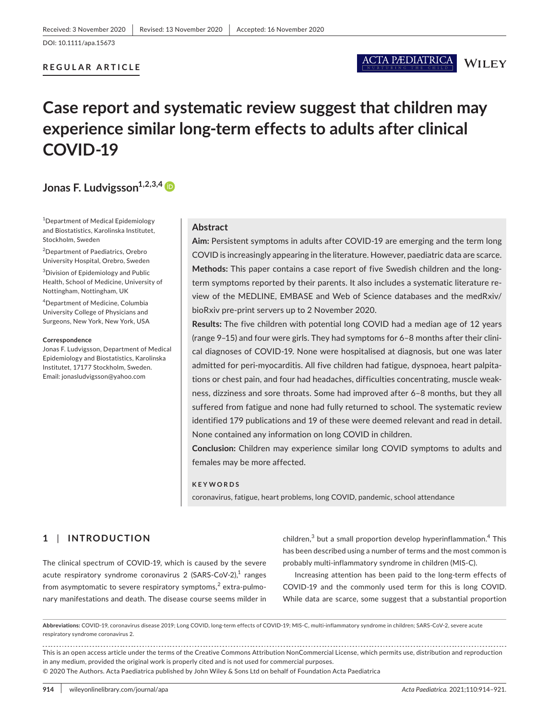#### **REGULAR ARTICLE**

## ACTA PÆDIATRICA WILEY

# **Case report and systematic review suggest that children may experience similar long-term effects to adults after clinical COVID-19**

## **Jonas F. Ludvigsson1,2,3,4**

1 Department of Medical Epidemiology and Biostatistics, Karolinska Institutet, Stockholm, Sweden

2 Department of Paediatrics, Orebro University Hospital, Orebro, Sweden

<sup>3</sup>Division of Epidemiology and Public Health, School of Medicine, University of Nottingham, Nottingham, UK

4 Department of Medicine, Columbia University College of Physicians and Surgeons, New York, New York, USA

#### **Correspondence**

Jonas F. Ludvigsson, Department of Medical Epidemiology and Biostatistics, Karolinska Institutet, 17177 Stockholm, Sweden. Email: [jonasludvigsson@yahoo.com](mailto:jonasludvigsson@yahoo.com)

#### **Abstract**

**Aim:** Persistent symptoms in adults after COVID-19 are emerging and the term long COVID is increasingly appearing in the literature. However, paediatric data are scarce. **Methods:** This paper contains a case report of five Swedish children and the longterm symptoms reported by their parents. It also includes a systematic literature review of the MEDLINE, EMBASE and Web of Science databases and the medRxiv/ bioRxiv pre-print servers up to 2 November 2020.

**Results:** The five children with potential long COVID had a median age of 12 years (range 9–15) and four were girls. They had symptoms for 6–8 months after their clinical diagnoses of COVID-19. None were hospitalised at diagnosis, but one was later admitted for peri-myocarditis. All five children had fatigue, dyspnoea, heart palpitations or chest pain, and four had headaches, difficulties concentrating, muscle weakness, dizziness and sore throats. Some had improved after 6–8 months, but they all suffered from fatigue and none had fully returned to school. The systematic review identified 179 publications and 19 of these were deemed relevant and read in detail. None contained any information on long COVID in children.

**Conclusion:** Children may experience similar long COVID symptoms to adults and females may be more affected.

#### **KEYWORDS**

coronavirus, fatigue, heart problems, long COVID, pandemic, school attendance

### **1** | **INTRODUCTION**

The clinical spectrum of COVID-19, which is caused by the severe acute respiratory syndrome coronavirus 2 (SARS-CoV-2), $^1$  ranges from asymptomatic to severe respiratory symptoms, $^2$  extra-pulmonary manifestations and death. The disease course seems milder in

children,<sup>3</sup> but a small proportion develop hyperinflammation.<sup>4</sup> This has been described using a number of terms and the most common is probably multi-inflammatory syndrome in children (MIS-C).

Increasing attention has been paid to the long-term effects of COVID-19 and the commonly used term for this is long COVID. While data are scarce, some suggest that a substantial proportion

This is an open access article under the terms of the [Creative Commons Attribution NonCommercial](http://creativecommons.org/licenses/by-nc/4.0/) License, which permits use, distribution and reproduction in any medium, provided the original work is properly cited and is not used for commercial purposes.

© 2020 The Authors. Acta Paediatrica published by John Wiley & Sons Ltd on behalf of Foundation Acta Paediatrica

**Abbreviations:** COVID-19, coronavirus disease 2019; Long COVID, long-term effects of COVID-19; MIS-C, multi-inflammatory syndrome in children; SARS-CoV-2, severe acute respiratory syndrome coronavirus 2.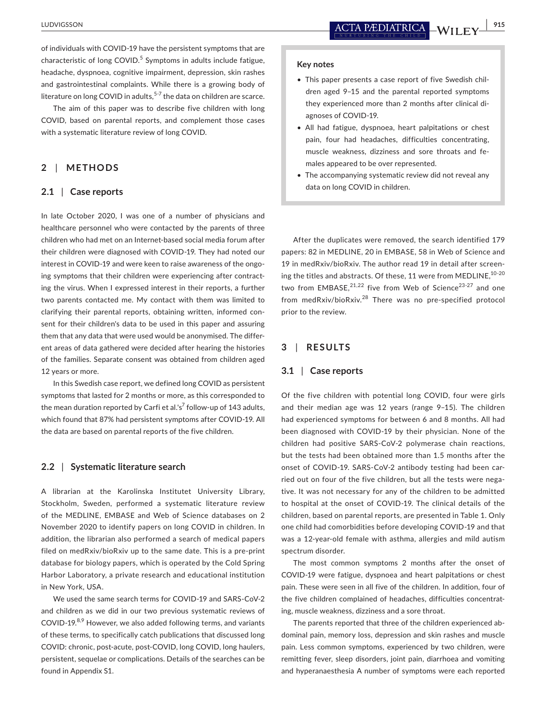of individuals with COVID-19 have the persistent symptoms that are characteristic of long COVID.<sup>5</sup> Symptoms in adults include fatigue, headache, dyspnoea, cognitive impairment, depression, skin rashes and gastrointestinal complaints. While there is a growing body of literature on long COVID in adults,  $5-7$  the data on children are scarce.

The aim of this paper was to describe five children with long COVID, based on parental reports, and complement those cases with a systematic literature review of long COVID.

## **2** | **METHODS**

## **2.1** | **Case reports**

In late October 2020, I was one of a number of physicians and healthcare personnel who were contacted by the parents of three children who had met on an Internet-based social media forum after their children were diagnosed with COVID-19. They had noted our interest in COVID-19 and were keen to raise awareness of the ongoing symptoms that their children were experiencing after contracting the virus. When I expressed interest in their reports, a further two parents contacted me. My contact with them was limited to clarifying their parental reports, obtaining written, informed consent for their children's data to be used in this paper and assuring them that any data that were used would be anonymised. The different areas of data gathered were decided after hearing the histories of the families. Separate consent was obtained from children aged 12 years or more.

In this Swedish case report, we defined long COVID as persistent symptoms that lasted for 2 months or more, as this corresponded to the mean duration reported by Carfi et al.'s $^7$  follow-up of 143 adults, which found that 87% had persistent symptoms after COVID-19. All the data are based on parental reports of the five children.

## **2.2** | **Systematic literature search**

A librarian at the Karolinska Institutet University Library, Stockholm, Sweden, performed a systematic literature review of the MEDLINE, EMBASE and Web of Science databases on 2 November 2020 to identify papers on long COVID in children. In addition, the librarian also performed a search of medical papers filed on medRxiv/bioRxiv up to the same date. This is a pre-print database for biology papers, which is operated by the Cold Spring Harbor Laboratory, a private research and educational institution in New York, USA.

We used the same search terms for COVID-19 and SARS-CoV-2 and children as we did in our two previous systematic reviews of COVID-19.8,9 However, we also added following terms, and variants of these terms, to specifically catch publications that discussed long COVID: chronic, post-acute, post-COVID, long COVID, long haulers, persistent, sequelae or complications. Details of the searches can be found in Appendix S1.

#### **Key notes**

- This paper presents a case report of five Swedish children aged 9–15 and the parental reported symptoms they experienced more than 2 months after clinical diagnoses of COVID-19.
- All had fatigue, dyspnoea, heart palpitations or chest pain, four had headaches, difficulties concentrating, muscle weakness, dizziness and sore throats and females appeared to be over represented.
- The accompanying systematic review did not reveal any data on long COVID in children.

After the duplicates were removed, the search identified 179 papers: 82 in MEDLINE, 20 in EMBASE, 58 in Web of Science and 19 in medRxiv/bioRxiv. The author read 19 in detail after screening the titles and abstracts. Of these, 11 were from  $MEDLINE$ ,  $10-20$ two from  $EMBASE<sup>21,22</sup>$  five from Web of Science<sup>23-27</sup> and one from medRxiv/bioRxiv.<sup>28</sup> There was no pre-specified protocol prior to the review.

## **3** | **RESULTS**

#### **3.1** | **Case reports**

Of the five children with potential long COVID, four were girls and their median age was 12 years (range 9–15). The children had experienced symptoms for between 6 and 8 months. All had been diagnosed with COVID-19 by their physician. None of the children had positive SARS-CoV-2 polymerase chain reactions, but the tests had been obtained more than 1.5 months after the onset of COVID-19. SARS-CoV-2 antibody testing had been carried out on four of the five children, but all the tests were negative. It was not necessary for any of the children to be admitted to hospital at the onset of COVID-19. The clinical details of the children, based on parental reports, are presented in Table 1. Only one child had comorbidities before developing COVID-19 and that was a 12-year-old female with asthma, allergies and mild autism spectrum disorder.

The most common symptoms 2 months after the onset of COVID-19 were fatigue, dyspnoea and heart palpitations or chest pain. These were seen in all five of the children. In addition, four of the five children complained of headaches, difficulties concentrating, muscle weakness, dizziness and a sore throat.

The parents reported that three of the children experienced abdominal pain, memory loss, depression and skin rashes and muscle pain. Less common symptoms, experienced by two children, were remitting fever, sleep disorders, joint pain, diarrhoea and vomiting and hyperanaesthesia A number of symptoms were each reported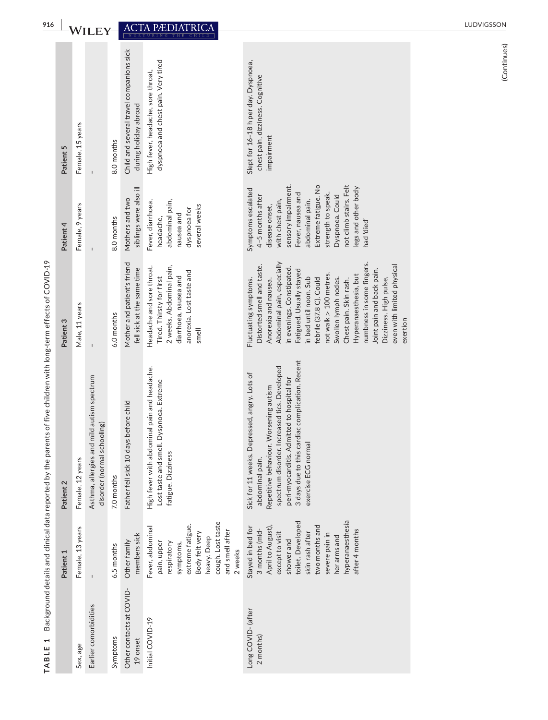|                                      | Patient 1                                                                                                                                                                                                                  | Patient 2                                                                                                                                                                                                                                                                            | Patient 3                                                                                                                                                                                                                                                                                                                                                                                                                                                  | Patient 4                                                                                                                                                                                                                                                                  | Patient 5                                                                              |       |
|--------------------------------------|----------------------------------------------------------------------------------------------------------------------------------------------------------------------------------------------------------------------------|--------------------------------------------------------------------------------------------------------------------------------------------------------------------------------------------------------------------------------------------------------------------------------------|------------------------------------------------------------------------------------------------------------------------------------------------------------------------------------------------------------------------------------------------------------------------------------------------------------------------------------------------------------------------------------------------------------------------------------------------------------|----------------------------------------------------------------------------------------------------------------------------------------------------------------------------------------------------------------------------------------------------------------------------|----------------------------------------------------------------------------------------|-------|
| Sex, age                             | Female, 13 years                                                                                                                                                                                                           | Female, 12 years                                                                                                                                                                                                                                                                     | Male, 11 years                                                                                                                                                                                                                                                                                                                                                                                                                                             | Female, 9 years                                                                                                                                                                                                                                                            | Female, 15 years                                                                       |       |
| Earlier comorbidities                |                                                                                                                                                                                                                            | Asthma, allergies and mild autism spectrum<br>disorder (normal schooling)                                                                                                                                                                                                            |                                                                                                                                                                                                                                                                                                                                                                                                                                                            |                                                                                                                                                                                                                                                                            |                                                                                        |       |
| Symptoms                             | 6.5 months                                                                                                                                                                                                                 | 7.0 months                                                                                                                                                                                                                                                                           | 6.0 months                                                                                                                                                                                                                                                                                                                                                                                                                                                 | 8.0 months                                                                                                                                                                                                                                                                 | 8.0 months                                                                             |       |
| Other contacts at COVID-<br>19 onset | members sick<br>Other family                                                                                                                                                                                               | Father fell sick 10 days before child                                                                                                                                                                                                                                                | Mother and patient's friend<br>fell sick at the same time                                                                                                                                                                                                                                                                                                                                                                                                  | siblings were also ill<br>Mothers and two                                                                                                                                                                                                                                  | Child and several travel companions sick<br>during holiday abroad                      |       |
| Initial COVID-19                     | cough. Lost taste<br>extreme fatigue.<br>Fever, abdominal<br>and smell after<br>Body felt very<br>heavy. Deep<br>pain, upper<br>respiratory<br>symptoms,<br>2 weeks                                                        | High fever with abdominal pain and headache.<br>Lost taste and smell. Dyspnoea. Extreme<br>fatigue. Dizziness                                                                                                                                                                        | 2 weeks. Abdominal pain,<br>Headache and sore throat.<br>anorexia. Lost taste and<br>Tired. Thirsty for first<br>diarrhoea, nausea and<br>smell                                                                                                                                                                                                                                                                                                            | abdominal pain,<br>Fever, diarrhoea,<br>several weeks<br>dyspnoea for<br>nausea and<br>headache,                                                                                                                                                                           | dyspnoea and chest pain. Very tired<br>High fever, headache, sore throat,              | T H E |
| Long COVID- (after<br>2 months)      | hyperanaesthesia<br>toilet. Developed<br>two months and<br>April to August)<br>Stayed in bed for<br>3 months (mid-<br>after 4 months<br>skin rash after<br>except to visit<br>severe pain in<br>her arms and<br>shower and | 3 days due to this cardiac complication. Recent<br>Increased tics. Developed<br>Sick for 11 weeks. Depressed, angry. Lots of<br>peri-myocarditis. Admitted to hospital for<br>Repetitive behaviour. Worsening autism<br>exercise ECG normal<br>spectrum disorder.<br>abdominal pain. | Abdominal pain, especially<br>numbness in some fingers.<br>even with limited physical<br>Distorted smell and taste.<br>in evenings. Constipated.<br>Joint pain and back pain.<br>Fatigued. Usually stayed<br>not walk > 100 metres.<br>Hyperanaesthesia, but<br>in bed until noon. Sub<br>febrile (37.8 C). Could<br>Swollen lymph nodes.<br>Fluctuating symptoms.<br>Dizziness. High pulse,<br>Anorexia and nausea.<br>Chest pain. Skin rash.<br>exertion | sensory impairment.<br>Extreme fatigue. No<br>not climb stairs. Felt<br>legs and other body<br>Symptoms escalated<br>strength to speak.<br>Fever, nausea and<br>4-5 months after<br>Dyspnoea. Could<br>abdominal pain.<br>with chest pain,<br>disease onset,<br>had 'died' | Slept for 16-18 h per day. Dyspnoea,<br>chest pain, dizziness. Cognitive<br>impairment |       |

(Continues) (Continues)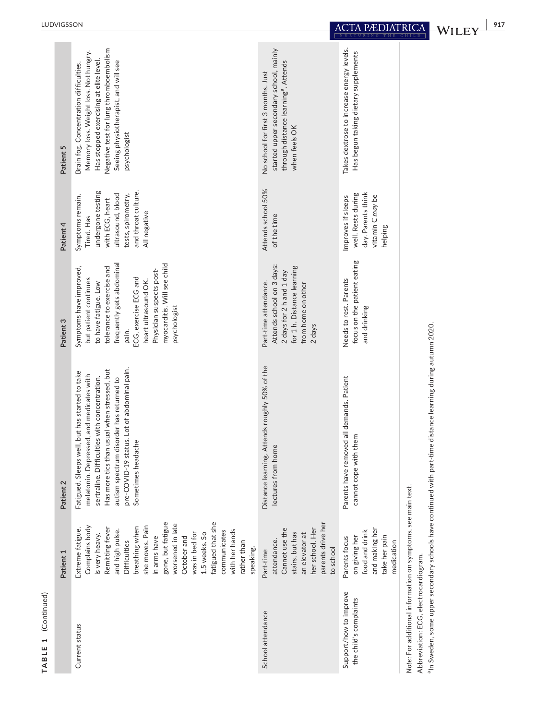| TABLE 1 (Continued)                                                                                   |                                                                                                                                                                                                                                                                                                                                                      |                                                                                                                                                                                                                                                                                                            |                                                                                                                                                                                                                                                                         |                                                                                                                                                          |                                                                                                                                                                                                                             |
|-------------------------------------------------------------------------------------------------------|------------------------------------------------------------------------------------------------------------------------------------------------------------------------------------------------------------------------------------------------------------------------------------------------------------------------------------------------------|------------------------------------------------------------------------------------------------------------------------------------------------------------------------------------------------------------------------------------------------------------------------------------------------------------|-------------------------------------------------------------------------------------------------------------------------------------------------------------------------------------------------------------------------------------------------------------------------|----------------------------------------------------------------------------------------------------------------------------------------------------------|-----------------------------------------------------------------------------------------------------------------------------------------------------------------------------------------------------------------------------|
|                                                                                                       | Patient 1                                                                                                                                                                                                                                                                                                                                            | Patient 2                                                                                                                                                                                                                                                                                                  | Patient 3                                                                                                                                                                                                                                                               | Patient 4                                                                                                                                                | Patient 5                                                                                                                                                                                                                   |
| Current status                                                                                        | fatigued that she<br>gone, but fatigue<br>worsened in late<br>Complains body<br>she moves. Pain<br>breathing when<br>Extreme fatigue.<br>Remitting fever<br>with her hands<br>and high pulse.<br>communicates<br>was in bed for<br>1.5 weeks. So<br>is very heavy.<br>in arms have<br>October and<br><b>Difficulties</b><br>rather than<br>speaking. | pre-COVID-19 status. Lot of abdominal pain.<br>Has more tics than usual when stressed, but<br>Fatigued. Sleeps well, but has started to take<br>melatonin. Depressed, and medicates with<br>sertraline. Difficulties with concentration.<br>autism spectrum disorder has returned to<br>Sometimes headache | myocarditis. Will see child<br>frequently gets abdominal<br>tolerance to exercise and<br>Symptoms have improved,<br>Physician suspects post-<br>ECG, exercise ECG and<br>but patient continues<br>heart ultrasound OK.<br>to have fatigue. Low<br>psychologist<br>pain. | undergone testing<br>and throat culture.<br>tests, spirometry,<br>ultrasound, blood<br>Symptoms remain.<br>with ECG, heart<br>All negative<br>Tired. Has | Negative test for lung thromboembolism<br>Memory loss. Weight loss. Not hungry.<br>Has stopped exercising at elite level.<br>Seeing physiotherapist, and will see<br>Brain fog. Concentration difficulties.<br>psychologist |
| School attendance                                                                                     | parents drive her<br>Cannot use the<br>her school. Her<br>stairs, but has<br>an elevator at<br>attendance.<br>to school<br>Part-time                                                                                                                                                                                                                 | Attends roughly 50% of the<br>lectures from home<br>Distance learning.                                                                                                                                                                                                                                     | Attends school on 3 days:<br>for 1 h. Distance learning<br>2 days for 2 h and 1 day<br>Part-time attendance.<br>from home on other<br>2 days                                                                                                                            | Attends school 50%<br>of the time                                                                                                                        | started upper secondary school, mainly<br>through distance learning <sup>a</sup> . Attends<br>No school for first 3 months. Just<br>when feels OK                                                                           |
| Support/how to improve<br>the child's complaints                                                      | and making her<br>food and drink<br>take her pain<br>on giving her<br>Parents focus<br>medication                                                                                                                                                                                                                                                    | Parents have removed all demands. Patient<br>them<br>cannot cope with                                                                                                                                                                                                                                      | focus on the patient eating<br>Needs to rest. Parents<br>and drinking                                                                                                                                                                                                   | day. Parents think<br>well. Rests during<br>vitamin C may be<br>Improves if sleeps<br>helping                                                            | Takes dextrose to increase energy levels.<br>Has begun taking dietary supplements                                                                                                                                           |
| Note: For additional information on symptoms, see main text.<br>Abbreviation: ECG, electrocardiogram. |                                                                                                                                                                                                                                                                                                                                                      | an Sweden, some upper secondary schools have continued with part-time distance learning during autumn 2020.                                                                                                                                                                                                |                                                                                                                                                                                                                                                                         |                                                                                                                                                          |                                                                                                                                                                                                                             |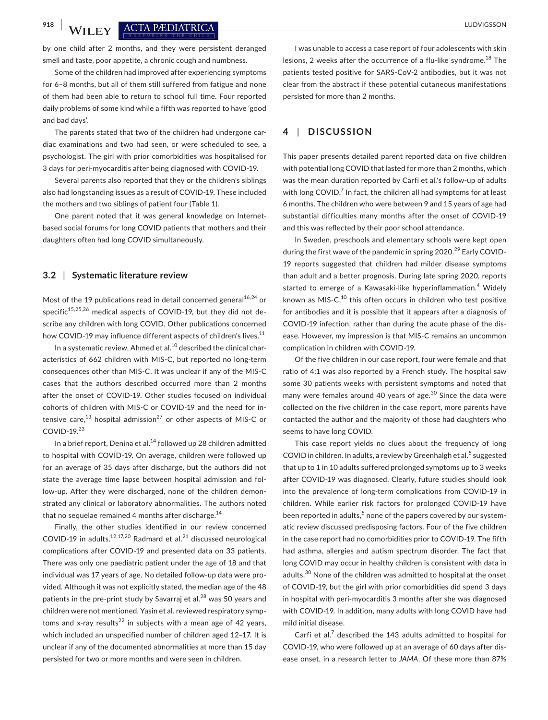**918 WII FY ACTA PEDIATRICA** 

by one child after 2 months, and they were persistent deranged smell and taste, poor appetite, a chronic cough and numbness.

Some of the children had improved after experiencing symptoms for 6–8 months, but all of them still suffered from fatigue and none of them had been able to return to school full time. Four reported daily problems of some kind while a fifth was reported to have 'good and bad days'.

The parents stated that two of the children had undergone cardiac examinations and two had seen, or were scheduled to see, a psychologist. The girl with prior comorbidities was hospitalised for 3 days for peri-myocarditis after being diagnosed with COVID-19.

Several parents also reported that they or the children's siblings also had longstanding issues as a result of COVID-19. These included the mothers and two siblings of patient four (Table 1).

One parent noted that it was general knowledge on Internetbased social forums for long COVID patients that mothers and their daughters often had long COVID simultaneously.

#### **3.2** | **Systematic literature review**

Most of the 19 publications read in detail concerned general<sup>16,24</sup> or specific<sup>15,25,26</sup> medical aspects of COVID-19, but they did not describe any children with long COVID. Other publications concerned how COVID-19 may influence different aspects of children's lives.<sup>11</sup>

In a systematic review, Ahmed et al.<sup>10</sup> described the clinical characteristics of 662 children with MIS-C, but reported no long-term consequences other than MIS-C. It was unclear if any of the MIS-C cases that the authors described occurred more than 2 months after the onset of COVID-19. Other studies focused on individual cohorts of children with MIS-C or COVID-19 and the need for intensive care,<sup>13</sup> hospital admission<sup>27</sup> or other aspects of MIS-C or COVID-19. $23$ 

In a brief report, Denina et al.<sup>14</sup> followed up 28 children admitted to hospital with COVID-19. On average, children were followed up for an average of 35 days after discharge, but the authors did not state the average time lapse between hospital admission and follow-up. After they were discharged, none of the children demonstrated any clinical or laboratory abnormalities. The authors noted that no sequelae remained 4 months after discharge.<sup>14</sup>

Finally, the other studies identified in our review concerned COVID-19 in adults.<sup>12,17,20</sup> Radmard et al.<sup>21</sup> discussed neurological complications after COVID-19 and presented data on 33 patients. There was only one paediatric patient under the age of 18 and that individual was 17 years of age. No detailed follow-up data were provided. Although it was not explicitly stated, the median age of the 48 patients in the pre-print study by Savarraj et al.<sup>28</sup> was 50 years and children were not mentioned. Yasin et al. reviewed respiratory symptoms and x-ray results<sup>22</sup> in subjects with a mean age of 42 years, which included an unspecified number of children aged 12–17. It is unclear if any of the documented abnormalities at more than 15 day persisted for two or more months and were seen in children.

I was unable to access a case report of four adolescents with skin lesions, 2 weeks after the occurrence of a flu-like syndrome. $^{18}$  The patients tested positive for SARS-CoV-2 antibodies, but it was not clear from the abstract if these potential cutaneous manifestations persisted for more than 2 months.

#### **4** | **DISCUSSION**

This paper presents detailed parent reported data on five children with potential long COVID that lasted for more than 2 months, which was the mean duration reported by Carfi et al.'s follow-up of adults with long COVID.<sup>7</sup> In fact, the children all had symptoms for at least 6 months. The children who were between 9 and 15 years of age had substantial difficulties many months after the onset of COVID-19 and this was reflected by their poor school attendance.

In Sweden, preschools and elementary schools were kept open during the first wave of the pandemic in spring 2020.<sup>29</sup> Early COVID-19 reports suggested that children had milder disease symptoms than adult and a better prognosis. During late spring 2020, reports started to emerge of a Kawasaki-like hyperinflammation.<sup>4</sup> Widely known as MIS- $C<sub>10</sub>$ <sup>10</sup> this often occurs in children who test positive for antibodies and it is possible that it appears after a diagnosis of COVID-19 infection, rather than during the acute phase of the disease. However, my impression is that MIS-C remains an uncommon complication in children with COVID-19.

Of the five children in our case report, four were female and that ratio of 4:1 was also reported by a French study. The hospital saw some 30 patients weeks with persistent symptoms and noted that many were females around 40 years of age.<sup>30</sup> Since the data were collected on the five children in the case report, more parents have contacted the author and the majority of those had daughters who seems to have long COVID.

This case report yields no clues about the frequency of long COVID in children. In adults, a review by Greenhalgh et al.<sup>5</sup> suggested that up to 1 in 10 adults suffered prolonged symptoms up to 3 weeks after COVID-19 was diagnosed. Clearly, future studies should look into the prevalence of long-term complications from COVID-19 in children. While earlier risk factors for prolonged COVID-19 have been reported in adults,<sup>5</sup> none of the papers covered by our systematic review discussed predisposing factors. Four of the five children in the case report had no comorbidities prior to COVID-19. The fifth had asthma, allergies and autism spectrum disorder. The fact that long COVID may occur in healthy children is consistent with data in adults.<sup>30</sup> None of the children was admitted to hospital at the onset of COVID-19, but the girl with prior comorbidities did spend 3 days in hospital with peri-myocarditis 3 months after she was diagnosed with COVID-19. In addition, many adults with long COVID have had mild initial disease.

Carfi et al. $<sup>7</sup>$  described the 143 adults admitted to hospital for</sup> COVID-19, who were followed up at an average of 60 days after disease onset, in a research letter to *JAMA*. Of these more than 87%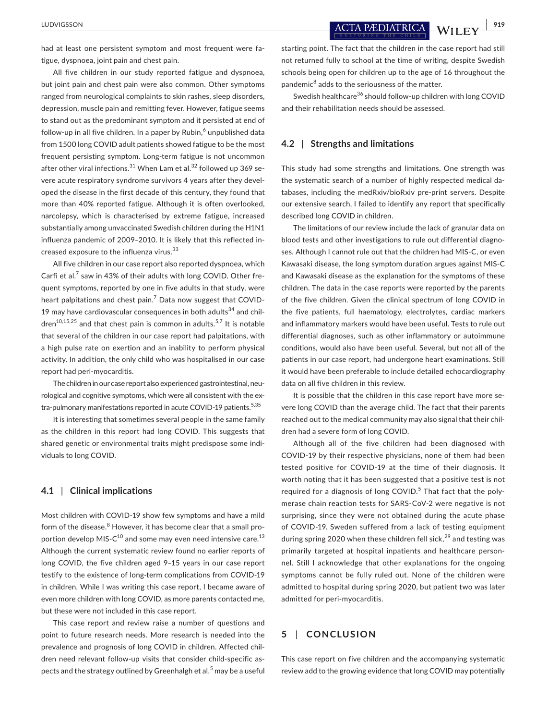had at least one persistent symptom and most frequent were fatigue, dyspnoea, joint pain and chest pain.

All five children in our study reported fatigue and dyspnoea, but joint pain and chest pain were also common. Other symptoms ranged from neurological complaints to skin rashes, sleep disorders, depression, muscle pain and remitting fever. However, fatigue seems to stand out as the predominant symptom and it persisted at end of follow-up in all five children. In a paper by Rubin, $^6$  unpublished data from 1500 long COVID adult patients showed fatigue to be the most frequent persisting symptom. Long-term fatigue is not uncommon after other viral infections.<sup>31</sup> When Lam et al.<sup>32</sup> followed up 369 severe acute respiratory syndrome survivors 4 years after they developed the disease in the first decade of this century, they found that more than 40% reported fatigue. Although it is often overlooked, narcolepsy, which is characterised by extreme fatigue, increased substantially among unvaccinated Swedish children during the H1N1 influenza pandemic of 2009–2010. It is likely that this reflected increased exposure to the influenza virus.<sup>33</sup>

All five children in our case report also reported dyspnoea, which Carfi et al. $^7$  saw in 43% of their adults with long COVID. Other frequent symptoms, reported by one in five adults in that study, were heart palpitations and chest pain. $^7$  Data now suggest that COVID-  $\,$ 19 may have cardiovascular consequences in both adults<sup>34</sup> and children<sup>10,15,25</sup> and that chest pain is common in adults.<sup>5,7</sup> It is notable that several of the children in our case report had palpitations, with a high pulse rate on exertion and an inability to perform physical activity. In addition, the only child who was hospitalised in our case report had peri-myocarditis.

The children in our case report also experienced gastrointestinal, neurological and cognitive symptoms, which were all consistent with the extra-pulmonary manifestations reported in acute COVID-19 patients.<sup>5,35</sup>

It is interesting that sometimes several people in the same family as the children in this report had long COVID. This suggests that shared genetic or environmental traits might predispose some individuals to long COVID.

#### **4.1** | **Clinical implications**

Most children with COVID-19 show few symptoms and have a mild form of the disease. $^8$  However, it has become clear that a small proportion develop MIS- $C^{10}$  and some may even need intensive care.<sup>13</sup> Although the current systematic review found no earlier reports of long COVID, the five children aged 9–15 years in our case report testify to the existence of long-term complications from COVID-19 in children. While I was writing this case report, I became aware of even more children with long COVID, as more parents contacted me, but these were not included in this case report.

This case report and review raise a number of questions and point to future research needs. More research is needed into the prevalence and prognosis of long COVID in children. Affected children need relevant follow-up visits that consider child-specific aspects and the strategy outlined by Greenhalgh et al.<sup>5</sup> may be a useful starting point. The fact that the children in the case report had still not returned fully to school at the time of writing, despite Swedish schools being open for children up to the age of 16 throughout the pandemic<sup>8</sup> adds to the seriousness of the matter.

Swedish healthcare<sup>36</sup> should follow-up children with long COVID and their rehabilitation needs should be assessed.

## **4.2** | **Strengths and limitations**

This study had some strengths and limitations. One strength was the systematic search of a number of highly respected medical databases, including the medRxiv/bioRxiv pre-print servers. Despite our extensive search, I failed to identify any report that specifically described long COVID in children.

The limitations of our review include the lack of granular data on blood tests and other investigations to rule out differential diagnoses. Although I cannot rule out that the children had MIS-C, or even Kawasaki disease, the long symptom duration argues against MIS-C and Kawasaki disease as the explanation for the symptoms of these children. The data in the case reports were reported by the parents of the five children. Given the clinical spectrum of long COVID in the five patients, full haematology, electrolytes, cardiac markers and inflammatory markers would have been useful. Tests to rule out differential diagnoses, such as other inflammatory or autoimmune conditions, would also have been useful. Several, but not all of the patients in our case report, had undergone heart examinations. Still it would have been preferable to include detailed echocardiography data on all five children in this review.

It is possible that the children in this case report have more severe long COVID than the average child. The fact that their parents reached out to the medical community may also signal that their children had a severe form of long COVID.

Although all of the five children had been diagnosed with COVID-19 by their respective physicians, none of them had been tested positive for COVID-19 at the time of their diagnosis. It worth noting that it has been suggested that a positive test is not required for a diagnosis of long COVID.<sup>5</sup> That fact that the polymerase chain reaction tests for SARS-CoV-2 were negative is not surprising, since they were not obtained during the acute phase of COVID-19. Sweden suffered from a lack of testing equipment during spring 2020 when these children fell sick, $^{29}$  and testing was primarily targeted at hospital inpatients and healthcare personnel. Still I acknowledge that other explanations for the ongoing symptoms cannot be fully ruled out. None of the children were admitted to hospital during spring 2020, but patient two was later admitted for peri-myocarditis.

## **5** | **CONCLUSION**

This case report on five children and the accompanying systematic review add to the growing evidence that long COVID may potentially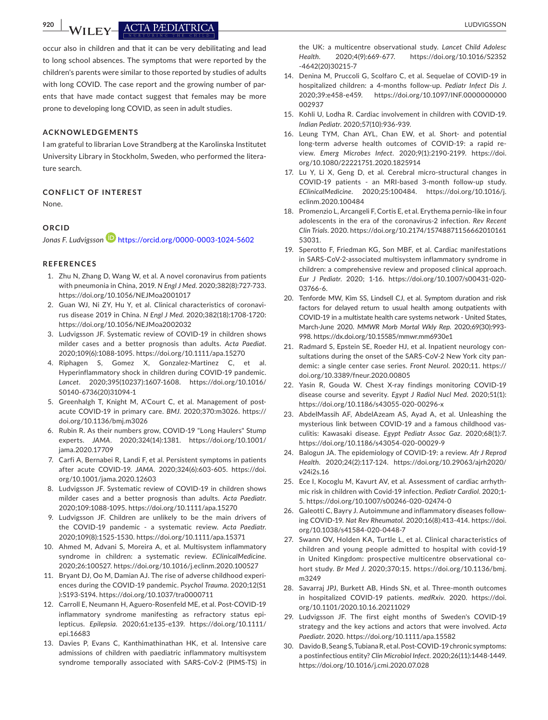**EXECTA PEDIATRICA DECORPT AND A REDEVICES REDEVICES REDUCESSON** 

occur also in children and that it can be very debilitating and lead to long school absences. The symptoms that were reported by the children's parents were similar to those reported by studies of adults with long COVID. The case report and the growing number of parents that have made contact suggest that females may be more prone to developing long COVID, as seen in adult studies.

#### **ACKNOWLEDGEMENTS**

I am grateful to librarian Love Strandberg at the Karolinska Institutet University Library in Stockholm, Sweden, who performed the literature search.

#### **CONFLICT OF INTEREST**

None.

#### **ORCID**

*Jonas F. Ludvigsson* <https://orcid.org/0000-0003-1024-5602>

#### **REFERENCES**

- 1. Zhu N, Zhang D, Wang W, et al. A novel coronavirus from patients with pneumonia in China, 2019. *N Engl J Med*. 2020;382(8):727-733. <https://doi.org/10.1056/NEJMoa2001017>
- 2. Guan WJ, Ni ZY, Hu Y, et al. Clinical characteristics of coronavirus disease 2019 in China. *N Engl J Med*. 2020;382(18):1708-1720: <https://doi.org/10.1056/NEJMoa2002032>
- 3. Ludvigsson JF. Systematic review of COVID-19 in children shows milder cases and a better prognosis than adults. *Acta Paediat*. 2020;109(6):1088-1095.<https://doi.org/10.1111/apa.15270>
- 4. Riphagen S, Gomez X, Gonzalez-Martinez C, et al. Hyperinflammatory shock in children during COVID-19 pandemic. *Lancet*. 2020;395(10237):1607-1608. [https://doi.org/10.1016/](https://doi.org/10.1016/S0140-6736(20)31094-1) [S0140-6736\(20\)31094-1](https://doi.org/10.1016/S0140-6736(20)31094-1)
- 5. Greenhalgh T, Knight M, A'Court C, et al. Management of postacute COVID-19 in primary care. *BMJ*. 2020;370:m3026. [https://](https://doi.org/10.1136/bmj.m3026) [doi.org/10.1136/bmj.m3026](https://doi.org/10.1136/bmj.m3026)
- 6. Rubin R. As their numbers grow, COVID-19 "Long Haulers" Stump experts. *JAMA*. 2020;324(14):1381. [https://doi.org/10.1001/](https://doi.org/10.1001/jama.2020.17709) [jama.2020.17709](https://doi.org/10.1001/jama.2020.17709)
- 7. Carfi A, Bernabei R, Landi F, et al. Persistent symptoms in patients after acute COVID-19. *JAMA*. 2020;324(6):603-605. [https://doi.](https://doi.org/10.1001/jama.2020.12603) [org/10.1001/jama.2020.12603](https://doi.org/10.1001/jama.2020.12603)
- 8. Ludvigsson JF. Systematic review of COVID-19 in children shows milder cases and a better prognosis than adults. *Acta Paediatr*. 2020;109:1088-1095. <https://doi.org/10.1111/apa.15270>
- 9. Ludvigsson JF. Children are unlikely to be the main drivers of the COVID-19 pandemic - a systematic review. *Acta Paediatr*. 2020;109(8):1525-1530.<https://doi.org/10.1111/apa.15371>
- 10. Ahmed M, Advani S, Moreira A, et al. Multisystem inflammatory syndrome in children: a systematic review. *EClinicalMedicine*. 2020;26:100527. <https://doi.org/10.1016/j.eclinm.2020.100527>
- 11. Bryant DJ, Oo M, Damian AJ. The rise of adverse childhood experiences during the COVID-19 pandemic. *Psychol Trauma*. 2020;12(S1 ):S193-S194. <https://doi.org/10.1037/tra0000711>
- 12. Carroll E, Neumann H, Aguero-Rosenfeld ME, et al. Post-COVID-19 inflammatory syndrome manifesting as refractory status epilepticus. *Epilepsia*. 2020;61:e135-e139. [https://doi.org/10.1111/](https://doi.org/10.1111/epi.16683) [epi.16683](https://doi.org/10.1111/epi.16683)
- 13. Davies P, Evans C, Kanthimathinathan HK, et al. Intensive care admissions of children with paediatric inflammatory multisystem syndrome temporally associated with SARS-CoV-2 (PIMS-TS) in

the UK: a multicentre observational study. *Lancet Child Adolesc Health*. 2020;4(9):669-677. [https://doi.org/10.1016/S2352](https://doi.org/10.1016/S2352-4642(20)30215-7) [-4642\(20\)30215-7](https://doi.org/10.1016/S2352-4642(20)30215-7)

- 14. Denina M, Pruccoli G, Scolfaro C, et al. Sequelae of COVID-19 in hospitalized children: a 4-months follow-up. *Pediatr Infect Dis J*. 2020;39:e458-e459. [https://doi.org/10.1097/INF.0000000000](https://doi.org/10.1097/INF.0000000000002937) [002937](https://doi.org/10.1097/INF.0000000000002937)
- 15. Kohli U, Lodha R. Cardiac involvement in children with COVID-19. *Indian Pediatr*. 2020;57(10):936-939.
- 16. Leung TYM, Chan AYL, Chan EW, et al. Short- and potential long-term adverse health outcomes of COVID-19: a rapid review. *Emerg Microbes Infect*. 2020;9(1):2190-2199. [https://doi.](https://doi.org/10.1080/22221751.2020.1825914) [org/10.1080/22221751.2020.1825914](https://doi.org/10.1080/22221751.2020.1825914)
- 17. Lu Y, Li X, Geng D, et al. Cerebral micro-structural changes in COVID-19 patients - an MRI-based 3-month follow-up study. *EClinicalMedicine*. 2020;25:100484. [https://doi.org/10.1016/j.](https://doi.org/10.1016/j.eclinm.2020.100484) [eclinm.2020.100484](https://doi.org/10.1016/j.eclinm.2020.100484)
- 18. Promenzio L, Arcangeli F, Cortis E, et al. Erythema pernio-like in four adolescents in the era of the coronavirus-2 infection. *Rev Recent Clin Trials*. 2020. [https://doi.org/10.2174/15748871156662010161](https://doi.org/10.2174/1574887115666201016153031) [53031](https://doi.org/10.2174/1574887115666201016153031).
- 19. Sperotto F, Friedman KG, Son MBF, et al. Cardiac manifestations in SARS-CoV-2-associated multisystem inflammatory syndrome in children: a comprehensive review and proposed clinical approach. *Eur J Pediatr*. 2020; 1-16. [https://doi.org/10.1007/s00431-020-](https://doi.org/10.1007/s00431-020-03766-6) [03766-6](https://doi.org/10.1007/s00431-020-03766-6).
- 20. Tenforde MW, Kim SS, Lindsell CJ, et al. Symptom duration and risk factors for delayed return to usual health among outpatients with COVID-19 in a multistate health care systems network - United States, March-June 2020. *MMWR Morb Mortal Wkly Rep*. 2020;69(30):993- 998.<https://dx.doi.org/10.15585/mmwr.mm6930e1>
- 21. Radmard S, Epstein SE, Roeder HJ, et al. Inpatient neurology consultations during the onset of the SARS-CoV-2 New York city pandemic: a single center case series. *Front Neurol*. 2020;11. [https://](https://doi.org/10.3389/fneur.2020.00805) [doi.org/10.3389/fneur.2020.00805](https://doi.org/10.3389/fneur.2020.00805)
- 22. Yasin R, Gouda W. Chest X-ray findings monitoring COVID-19 disease course and severity. *Egypt J Radiol Nucl Med*. 2020;51(1): <https://doi.org/10.1186/s43055-020-00296-x>
- 23. AbdelMassih AF, AbdelAzeam AS, Ayad A, et al. Unleashing the mysterious link between COVID-19 and a famous childhood vasculitis: Kawasaki disease. *Egypt Pediatr Assoc Gaz*. 2020;68(1):7. <https://doi.org/10.1186/s43054-020-00029-9>
- 24. Balogun JA. The epidemiology of COVID-19: a review. *Afr J Reprod Health*. 2020;24(2):117-124. [https://doi.org/10.29063/ajrh2020/](https://doi.org/10.29063/ajrh2020/v24i2s.16) [v24i2s.16](https://doi.org/10.29063/ajrh2020/v24i2s.16)
- 25. Ece I, Kocoglu M, Kavurt AV, et al. Assessment of cardiac arrhythmic risk in children with Covid-19 infection. *Pediatr Cardiol*. 2020;1- 5.<https://doi.org/10.1007/s00246-020-02474-0>
- 26. Galeotti C, Bayry J. Autoimmune and inflammatory diseases following COVID-19. *Nat Rev Rheumatol*. 2020;16(8):413-414. [https://doi.](https://doi.org/10.1038/s41584-020-0448-7) [org/10.1038/s41584-020-0448-7](https://doi.org/10.1038/s41584-020-0448-7)
- 27. Swann OV, Holden KA, Turtle L, et al. Clinical characteristics of children and young people admitted to hospital with covid-19 in United Kingdom: prospective multicentre observational cohort study. *Br Med J*. 2020;370:15. [https://doi.org/10.1136/bmj.](https://doi.org/10.1136/bmj.m3249) [m3249](https://doi.org/10.1136/bmj.m3249)
- 28. Savarraj JPJ, Burkett AB, Hinds SN, et al. Three-month outcomes in hospitalized COVID-19 patients. *medRxiv*. 2020. [https://doi.](https://doi.org/10.1101/2020.10.16.20211029) [org/10.1101/2020.10.16.20211029](https://doi.org/10.1101/2020.10.16.20211029)
- 29. Ludvigsson JF. The first eight months of Sweden's COVID-19 strategy and the key actions and actors that were involved. *Acta Paediatr*. 2020. <https://doi.org/10.1111/apa.15582>
- 30. Davido B, Seang S, Tubiana R, et al. Post-COVID-19 chronic symptoms: a postinfectious entity? *Clin Microbiol Infect*. 2020;26(11):1448-1449. <https://doi.org/10.1016/j.cmi.2020.07.028>